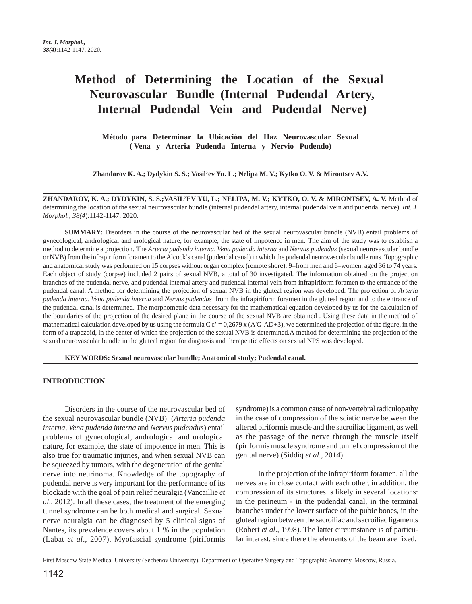# **Method of Determining the Location of the Sexual Neurovascular Bundle (Internal Pudendal Artery, Internal Pudendal Vein and Pudendal Nerve)**

**Método para Determinar la Ubicación del Haz Neurovascular Sexual ( Vena y Arteria Pudenda Interna y Nervio Pudendo)**

**Zhandarov K. A.; Dydykin S. S.; Vasil'ev Yu. L.; Nelipa M. V.; Kytko O. V. & Mirontsev A.V.**

**ZHANDAROV, K. A.; DYDYKIN, S. S.;VASIL'EV YU, L.; NELIPA, M. V.; KYTKO, O. V. & MIRONTSEV, A. V.** Method of determining the location of the sexual neurovascular bundle (internal pudendal artery, internal pudendal vein and pudendal nerve). *Int. J. Morphol., 38(4*):1142-1147, 2020.

**SUMMARY:** Disorders in the course of the neurovascular bed of the sexual neurovascular bundle (NVB) entail problems of gynecological, andrological and urological nature, for example, the state of impotence in men. The aim of the study was to establish a method to determine a projection. The *Arteria pudenda interna, Vena pudenda interna* and *Nervus pudendus* (sexual neurovascular bundle or NVB) from the infrapiriform foramen to the Alcock's canal (pudendal canal) in which the pudendal neurovascular bundle runs. Topographic and anatomical study was performed on 15 corpses without organ complex (remote shore): 9–from men and 6–women, aged 36 to 74 years. Each object of study (corpse) included 2 pairs of sexual NVB, a total of 30 investigated. The information obtained on the projection branches of the pudendal nerve, and pudendal internal artery and pudendal internal vein from infrapiriform foramen to the entrance of the pudendal canal. A method for determining the projection of sexual NVB in the gluteal region was developed. The projection of *Arteria pudenda interna, Vena pudenda interna* and *Nervus pudendus* from the infrapiriform foramen in the gluteal region and to the entrance of the pudendal canal is determined. The morphometric data necessary for the mathematical equation developed by us for the calculation of the boundaries of the projection of the desired plane in the course of the sexual NVB are obtained . Using these data in the method of mathematical calculation developed by us using the formula C'c' =  $0,2679$  x (A'G-AD+3), we determined the projection of the figure, in the form of a trapezoid, in the center of which the projection of the sexual NVB is determined.A method for determining the projection of the sexual neurovascular bundle in the gluteal region for diagnosis and therapeutic effects on sexual NPS was developed.

**KEY WORDS: Sexual neurovascular bundle; Anatomical study; Pudendal canal.**

### **INTRODUCTION**

Disorders in the course of the neurovascular bed of the sexual neurovascular bundle (NVB) (*Arteria pudenda interna*, *Vena pudenda interna* and *Nervus pudendus*) entail problems of gynecological, andrological and urological nature, for example, the state of impotence in men. This is also true for traumatic injuries, and when sexual NVB can be squeezed by tumors, with the degeneration of the genital nerve into neurinoma. Knowledge of the topography of pudendal nerve is very important for the performance of its blockade with the goal of pain relief neuralgia (Vancaillie *et al*., 2012). In all these cases, the treatment of the emerging tunnel syndrome can be both medical and surgical. Sexual nerve neuralgia can be diagnosed by 5 clinical signs of Nantes, its prevalence covers about 1 % in the population (Labat *et al*., 2007). Myofascial syndrome (piriformis syndrome) is a common cause of non-vertebral radiculopathy in the case of compression of the sciatic nerve between the altered piriformis muscle and the sacroiliac ligament, as well as the passage of the nerve through the muscle itself (piriformis muscle syndrome and tunnel compression of the genital nerve) (Siddiq *et al*., 2014).

In the projection of the infrapiriform foramen, all the nerves are in close contact with each other, in addition, the compression of its structures is likely in several locations: in the perineum - in the pudendal canal, in the terminal branches under the lower surface of the pubic bones, in the gluteal region between the sacroiliac and sacroiliac ligaments (Robert *et al*., 1998). The latter circumstance is of particular interest, since there the elements of the beam are fixed.

First Moscow State Medical University (Sechenov University), Department of Operative Surgery and Topographic Anatomy, Moscow, Russia.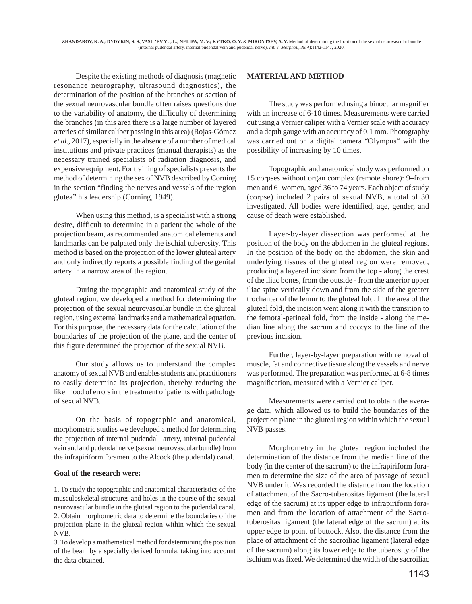Despite the existing methods of diagnosis (magnetic resonance neurography, ultrasound diagnostics), the determination of the position of the branches or section of the sexual neurovascular bundle often raises questions due to the variability of anatomy, the difficulty of determining the branches (in this area there is a large number of layered arteries of similar caliber passing in this area) (Rojas-Gómez *et al*., 2017), especially in the absence of a number of medical institutions and private practices (manual therapists) as the necessary trained specialists of radiation diagnosis, and expensive equipment. For training of specialists presents the method of determining the sex of NVB described by Corning in the section "finding the nerves and vessels of the region glutea" his leadership (Corning, 1949).

When using this method, is a specialist with a strong desire, difficult to determine in a patient the whole of the projection beam, as recommended anatomical elements and landmarks can be palpated only the ischial tuberosity. This method is based on the projection of the lower gluteal artery and only indirectly reports a possible finding of the genital artery in a narrow area of the region.

During the topographic and anatomical study of the gluteal region, we developed a method for determining the projection of the sexual neurovascular bundle in the gluteal region, using external landmarks and a mathematical equation. For this purpose, the necessary data for the calculation of the boundaries of the projection of the plane, and the center of this figure determined the projection of the sexual NVB.

Our study allows us to understand the complex anatomy of sexual NVB and enables students and practitioners to easily determine its projection, thereby reducing the likelihood of errors in the treatment of patients with pathology of sexual NVB.

On the basis of topographic and anatomical, morphometric studies we developed a method for determining the projection of internal pudendal artery, internal pudendal vein and and pudendal nerve (sexual neurovascular bundle) from the infrapiriform foramen to the Alcock (the pudendal) canal.

### **Goal of the research were:**

1. To study the topographic and anatomical characteristics of the musculoskeletal structures and holes in the course of the sexual neurovascular bundle in the gluteal region to the pudendal canal. 2. Obtain morphometric data to determine the boundaries of the projection plane in the gluteal region within which the sexual NVB.

3. To develop a mathematical method for determining the position of the beam by a specially derived formula, taking into account the data obtained.

### **MATERIAL AND METHOD**

The study was performed using a binocular magnifier with an increase of 6-10 times. Measurements were carried out using a Vernier caliper with a Vernier scale with accuracy and a depth gauge with an accuracy of 0.1 mm. Photography was carried out on a digital camera "Olympus" with the possibility of increasing by 10 times.

Topographic and anatomical study was performed on 15 corpses without organ complex (remote shore): 9–from men and 6–women, aged 36 to 74 years. Each object of study (corpse) included 2 pairs of sexual NVB, a total of 30 investigated. All bodies were identified, age, gender, and cause of death were established.

Layer-by-layer dissection was performed at the position of the body on the abdomen in the gluteal regions. In the position of the body on the abdomen, the skin and underlying tissues of the gluteal region were removed, producing a layered incision: from the top - along the crest of the iliac bones, from the outside - from the anterior upper iliac spine vertically down and from the side of the greater trochanter of the femur to the gluteal fold. In the area of the gluteal fold, the incision went along it with the transition to the femoral-perineal fold, from the inside - along the median line along the sacrum and coccyx to the line of the previous incision.

Further, layer-by-layer preparation with removal of muscle, fat and connective tissue along the vessels and nerve was performed. The preparation was performed at 6-8 times magnification, measured with a Vernier caliper.

Measurements were carried out to obtain the average data, which allowed us to build the boundaries of the projection plane in the gluteal region within which the sexual NVB passes.

Morphometry in the gluteal region included the determination of the distance from the median line of the body (in the center of the sacrum) to the infrapiriform foramen to determine the size of the area of passage of sexual NVB under it. Was recorded the distance from the location of attachment of the Sacro-tuberositas ligament (the lateral edge of the sacrum) at its upper edge to infrapiriform foramen and from the location of attachment of the Sacrotuberositas ligament (the lateral edge of the sacrum) at its upper edge to point of buttock. Also, the distance from the place of attachment of the sacroiliac ligament (lateral edge of the sacrum) along its lower edge to the tuberosity of the ischium was fixed. We determined the width of the sacroiliac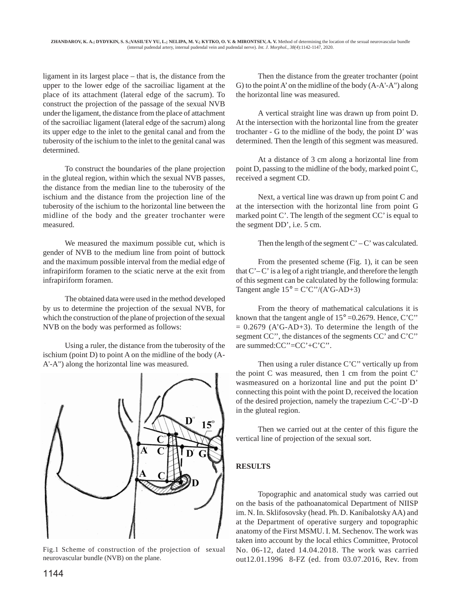ligament in its largest place – that is, the distance from the upper to the lower edge of the sacroiliac ligament at the place of its attachment (lateral edge of the sacrum). To construct the projection of the passage of the sexual NVB under the ligament, the distance from the place of attachment of the sacroiliac ligament (lateral edge of the sacrum) along its upper edge to the inlet to the genital canal and from the tuberosity of the ischium to the inlet to the genital canal was determined.

To construct the boundaries of the plane projection in the gluteal region, within which the sexual NVB passes, the distance from the median line to the tuberosity of the ischium and the distance from the projection line of the tuberosity of the ischium to the horizontal line between the midline of the body and the greater trochanter were measured.

We measured the maximum possible cut, which is gender of NVB to the medium line from point of buttock and the maximum possible interval from the medial edge of infrapiriform foramen to the sciatic nerve at the exit from infrapiriform foramen.

The obtained data were used in the method developed by us to determine the projection of the sexual NVB, for which the construction of the plane of projection of the sexual NVB on the body was performed as follows:

Using a ruler, the distance from the tuberosity of the ischium (point D) to point A on the midline of the body (A-A'-A") along the horizontal line was measured.



Fig.1 Scheme of construction of the projection of sexual neurovascular bundle (NVB) on the plane.

Then the distance from the greater trochanter (point G) to the point A' on the midline of the body (A-A'-A") along the horizontal line was measured.

A vertical straight line was drawn up from point D. At the intersection with the horizontal line from the greater trochanter - G to the midline of the body, the point D' was determined. Then the length of this segment was measured.

At a distance of 3 cm along a horizontal line from point D, passing to the midline of the body, marked point C, received a segment CD.

Next, a vertical line was drawn up from point C and at the intersection with the horizontal line from point G marked point C'. The length of the segment CC' is equal to the segment DD', i.e. 5 cm.

Then the length of the segment  $C' - C'$  was calculated.

From the presented scheme (Fig. 1), it can be seen that  $C'-C'$  is a leg of a right triangle, and therefore the length of this segment can be calculated by the following formula: Tangent angle  $15^{\circ} = C'C''/(A'G-AD+3)$ 

From the theory of mathematical calculations it is known that the tangent angle of  $15^{\circ}$  =0.2679. Hence, C'C"  $= 0.2679$  (A'G-AD+3). To determine the length of the segment CC'', the distances of the segments CC' and C'C'' are summed:CC''=CC'+C'C''.

Then using a ruler distance C'C" vertically up from the point C was measured, then 1 cm from the point C' wasmeasured on a horizontal line and put the point D' connecting this point with the point D, received the location of the desired projection, namely the trapezium C-C'-D'-D in the gluteal region.

Then we carried out at the center of this figure the vertical line of projection of the sexual sort.

# **RESULTS**

Topographic and anatomical study was carried out on the basis of the pathoanatomical Department of NIISP im. N. In. Sklifosovsky (head. Ph. D. Kanibalotsky AA) and at the Department of operative surgery and topographic anatomy of the First MSMU. I. M. Sechenov. The work was taken into account by the local ethics Committee, Protocol No. 06-12, dated 14.04.2018. The work was carried out12.01.1996 8-FZ (ed. from 03.07.2016, Rev. from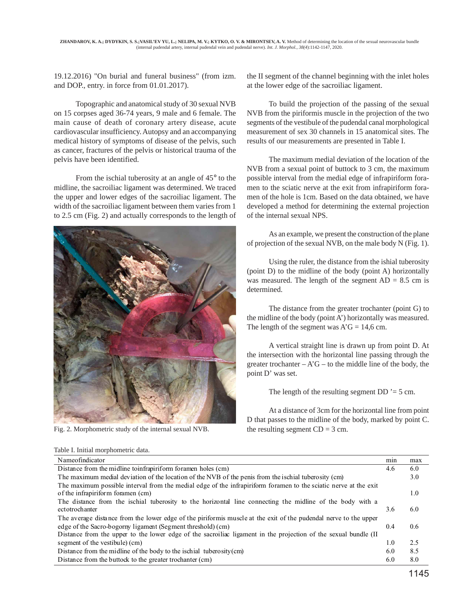19.12.2016) "On burial and funeral business" (from izm. and DOP., entry. in force from 01.01.2017).

Topographic and anatomical study of 30 sexual NVB on 15 corpses aged 36-74 years, 9 male and 6 female. The main cause of death of coronary artery disease, acute cardiovascular insufficiency. Autopsy and an accompanying medical history of symptoms of disease of the pelvis, such as cancer, fractures of the pelvis or historical trauma of the pelvis have been identified.

From the ischial tuberosity at an angle of 45° to the midline, the sacroiliac ligament was determined. We traced the upper and lower edges of the sacroiliac ligament. The width of the sacroiliac ligament between them varies from 1 to 2.5 cm (Fig. 2) and actually corresponds to the length of



Fig. 2. Morphometric study of the internal sexual NVB. the resulting segment  $CD = 3$  cm.

Table I. Initial morphometric data.

the II segment of the channel beginning with the inlet holes at the lower edge of the sacroiliac ligament.

To build the projection of the passing of the sexual NVB from the piriformis muscle in the projection of the two segments of the vestibule of the pudendal canal morphological measurement of sex 30 channels in 15 anatomical sites. The results of our measurements are presented in Table I.

The maximum medial deviation of the location of the NVB from a sexual point of buttock to 3 cm, the maximum possible interval from the medial edge of infrapiriform foramen to the sciatic nerve at the exit from infrapiriform foramen of the hole is 1cm. Based on the data obtained, we have developed a method for determining the external projection of the internal sexual NPS.

As an example, we present the construction of the plane of projection of the sexual NVB, on the male body N (Fig. 1).

Using the ruler, the distance from the ishial tuberosity (point D) to the midline of the body (point A) horizontally was measured. The length of the segment  $AD = 8.5$  cm is determined.

The distance from the greater trochanter (point G) to the midline of the body (point A') horizontally was measured. The length of the segment was  $A'G = 14,6$  cm.

A vertical straight line is drawn up from point D. At the intersection with the horizontal line passing through the greater trochanter  $-A'G$  – to the middle line of the body, the point D' was set.

The length of the resulting segment  $DD = 5$  cm.

At a distance of 3cm for the horizontal line from point D that passes to the midline of the body, marked by point C.

| Nameofindicator                                                                                                  | min | max |
|------------------------------------------------------------------------------------------------------------------|-----|-----|
| Distance from the midline to infrapirition for a holes (cm)                                                      | 4.6 | 6.0 |
| The maximum medial deviation of the location of the NVB of the penis from the ischial tuberosity (cm)            |     | 3.0 |
| The maximum possible interval from the medial edge of the infrapiriform foramen to the sciatic nerve at the exit |     |     |
| of the infrapirition foramen (cm)                                                                                |     | 1.0 |
| The distance from the ischial tuberosity to the horizontal line connecting the midline of the body with a        |     |     |
| ectotrochanter                                                                                                   | 3.6 | 6.0 |
| The average distance from the lower edge of the piriformis muscle at the exit of the pudendal nerve to the upper |     |     |
| edge of the Sacro-bogorny ligament (Segment threshold) (cm)                                                      | 0.4 | 0.6 |
| Distance from the upper to the lower edge of the sacroiliac ligament in the projection of the sexual bundle (II  |     |     |
| segment of the vestibule) (cm)                                                                                   | 1.0 | 2.5 |
| Distance from the midline of the body to the ischial tuberosity $\text{cm}$ )                                    | 6.0 | 8.5 |
| Distance from the buttock to the greater trochanter (cm)                                                         | 6.0 | 8.0 |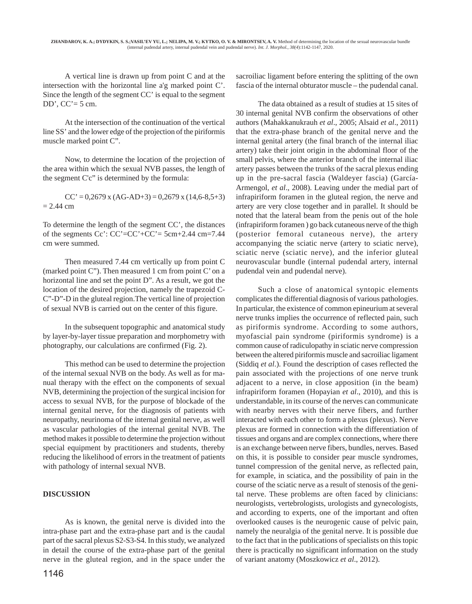A vertical line is drawn up from point C and at the intersection with the horizontal line a'g marked point C'. Since the length of the segment CC' is equal to the segment DD',  $CC' = 5$  cm.

At the intersection of the continuation of the vertical line SS' and the lower edge of the projection of the piriformis muscle marked point C".

Now, to determine the location of the projection of the area within which the sexual NVB passes, the length of the segment C'c" is determined by the formula:

 $CC' = 0.2679$  x  $(AG-AD+3) = 0.2679$  x  $(14.6-8.5+3)$  $= 2.44$  cm

To determine the length of the segment CC', the distances of the segments  $Cc'$ :  $CC' = CC' + CC' = 5cm + 2.44 cm = 7.44$ cm were summed.

Then measured 7.44 cm vertically up from point C (marked point C"). Then measured 1 cm from point C' on a horizontal line and set the point D". As a result, we got the location of the desired projection, namely the trapezoid C-C"-D"-D in the gluteal region.The vertical line of projection of sexual NVB is carried out on the center of this figure.

In the subsequent topographic and anatomical study by layer-by-layer tissue preparation and morphometry with photography, our calculations are confirmed (Fig. 2).

This method can be used to determine the projection of the internal sexual NVB on the body. As well as for manual therapy with the effect on the components of sexual NVB, determining the projection of the surgical incision for access to sexual NVB, for the purpose of blockade of the internal genital nerve, for the diagnosis of patients with neuropathy, neurinoma of the internal genital nerve, as well as vascular pathologies of the internal genital NVB. The method makes it possible to determine the projection without special equipment by practitioners and students, thereby reducing the likelihood of errors in the treatment of patients with pathology of internal sexual NVB.

#### **DISCUSSION**

As is known, the genital nerve is divided into the intra-phase part and the extra-phase part and is the caudal part of the sacral plexus S2-S3-S4. In this study, we analyzed in detail the course of the extra-phase part of the genital nerve in the gluteal region, and in the space under the sacroiliac ligament before entering the splitting of the own fascia of the internal obturator muscle – the pudendal canal.

The data obtained as a result of studies at 15 sites of 30 internal genital NVB confirm the observations of other authors (Mahakkanukrauh *et al*., 2005; Alsaid *et al*., 2011) that the extra-phase branch of the genital nerve and the internal genital artery (the final branch of the internal iliac artery) take their joint origin in the abdominal floor of the small pelvis, where the anterior branch of the internal iliac artery passes between the trunks of the sacral plexus ending up in the pre-sacral fascia (Waldeyer fascia) (García-Armengol, *et al*., 2008). Leaving under the medial part of infrapiriform foramen in the gluteal region, the nerve and artery are very close together and in parallel. It should be noted that the lateral beam from the penis out of the hole (infrapiriform foramen ) go back cutaneous nerve of the thigh (posterior femoral cutaneous nerve), the artery accompanying the sciatic nerve (artery to sciatic nerve), sciatic nerve (sciatic nerve), and the inferior gluteal neurovascular bundle (internal pudendal artery, internal pudendal vein and pudendal nerve).

Such a close of anatomical syntopic elements complicates the differential diagnosis of various pathologies. In particular, the existence of common epineurium at several nerve trunks implies the occurrence of reflected pain, such as piriformis syndrome. According to some authors, myofascial pain syndrome (piriformis syndrome) is a common cause of radiculopathy in sciatic nerve compression between the altered piriformis muscle and sacroiliac ligament (Siddiq *et al*.). Found the description of cases reflected the pain associated with the projections of one nerve trunk adjacent to a nerve, in close apposition (in the beam) infrapiriform foramen (Hopayian *et al*., 2010), and this is understandable, in its course of the nerves can communicate with nearby nerves with their nerve fibers, and further interacted with each other to form a plexus (plexus). Nerve plexus are formed in connection with the differentiation of tissues and organs and are complex connections, where there is an exchange between nerve fibers, bundles, nerves. Based on this, it is possible to consider pear muscle syndromes, tunnel compression of the genital nerve, as reflected pain, for example, in sciatica, and the possibility of pain in the course of the sciatic nerve as a result of stenosis of the genital nerve. These problems are often faced by clinicians: neurologists, vertebrologists, urologists and gynecologists, and according to experts, one of the important and often overlooked causes is the neurogenic cause of pelvic pain, namely the neuralgia of the genital nerve. It is possible due to the fact that in the publications of specialists on this topic there is practically no significant information on the study of variant anatomy (Moszkowicz *et al*., 2012).